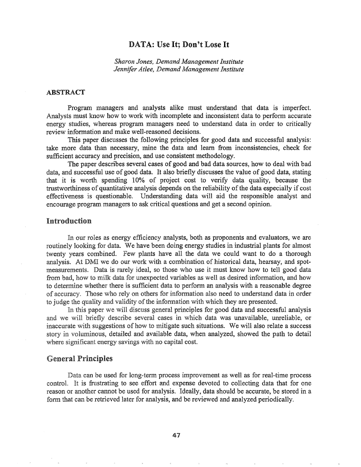# DATA: Use It; Don't Lose It

*Sharon Jones, Demand Management Institute Jennifer Atlee, Demand Management Institute*

#### ABSTRACT

Program managers and analysts alike must understand that data is imperfect. Analysts must know how to work with incomplete and inconsistent data to perform accurate energy studies, whereas program managers need to understand data in order to critically review information and make well-reasoned decisions.

This paper discusses the following principles for good data and successful analysis: take more data than necessary, mine the data and learn from inconsistencies, check for sufficient accuracy and precision, and use consistent methodology.

The paper describes several cases of good and bad data sources, how to deal with bad data, and successful use of good data. It also briefly discusses the value of good data, stating that it is worth. spending 10% of project cost to verify data quality, because the trustworthiness of quantitative analysis depends on the reliability of the data especially if cost effectiveness is questionable. Understanding data will aid the responsible analyst and encourage program managers to ask critical questions and get a second opinion.

## Introduction

In our roles as energy efficiency analysts, both as proponents and evaluators, we are routinely looking for data. We have been doing energy studies in industrial plants for almost twenty years combined. Few plants have all the data we could want to do a thorough analysis. At DMI we do our work with a combination of historical data, hearsay, and spotmeasurements. Data is rarely ideal, so those who use it must know how to tell good data from bad, how to milk data for unexpected variables as well as desired information, and how to determine whether there is sufficient data to perform an analysis with a reasonable degree accuracy,. Those rely on others for information also need to understand data in order to judge the quality and validity of the information with which they are presented.

In this paper we will discuss general principles for good data and successful analysis and we will briefly describe several cases in which data was unavailable, unreliable, or inaccurate with suggestions of how to mitigate such situations. We will also relate a success story in voluminous, detailed and available data, when analyzed, showed the path to detail where significant energy savings with no capital cost.

#### General Principles

Data can be used for long-term process improvement as well as for real-time process control. It is frustrating to see effort and expense devoted to collecting data that for one reason or another cannot be used for analysis. Ideally, data should be accurate, be stored in a form that can be retrieved later for analysis, and be reviewed and analyzed periodically.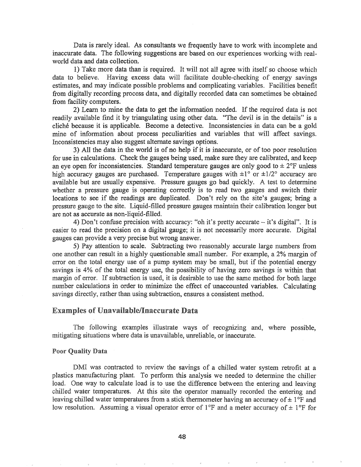Data is rarely ideal. As consultants we frequently have to work with incomplete and inaccurate data. The following suggestions are based on our experiences working with realworld data and data collection.

1) Take more data than is required. It will not all agree with itself so choose which data to believe. Having excess data will facilitate double-checking of energy savings estimates, and may indicate possible problems and complicating variables. Facilities benefit from digitally recording process data, and digitally recorded data can sometimes be obtained from facility computers.

2) Learn to mine the data to get the information needed. If the required data is not readily available find it by triangulating using other data.. "The devil is in the details" is a cliche because it is applicable. Become a detective. Inconsistencies in data can be a gold mine of information about process peculiarities and variables that will affect savings. Inconsistencies may also suggest alternate savings options.

3) All the data in the world is of no help if it is inaccurate, or of too poor resolution for use in calculations. Check the gauges being used, make sure they are calibrated, and keep an eye open for inconsistencies. Standard temperature gauges are only good to  $\pm 2^{\circ}$ F unless high accuracy gauges are purchased. Temperature gauges with  $\pm 1^{\circ}$  or  $\pm 1/2^{\circ}$  accuracy are available but are usually expensive. Pressure gauges go bad quickly. A test to determine whether a pressure gauge is operating correctly is to read two gauges and switch their locations to see if the readings are duplicated. Don't rely on the site's gauges; bring a pressure gauge to the site. Liquid-filled pressure gauges maintain their calibration longer but are not as accurate as non-liquid-filled.

4) Don't confuse precision with accuracy: "oh it's pretty accurate  $-$  it's digital". It is easier to read the precision on a digital gauge; it is not necessarily more accurate. Digital gauges can provide a very precise but wrong answer.

5) Pay attention to scale. Subtracting two reasonably accurate large numbers from one another can result in a highly questionable small number. For example, a 2% margin of error on the total energy use of a pump system may be small, but if the potential energy savings is 4% of the total energy use, the possibility of having zero savings is within that margin of error. If subtraction is used, it is desirable to use the same method for both large number calculations in order to minimize the effect of unaccounted variables. Calculating savings directly, rather than using subtraction, ensures a consistent method.

# Examples of Unavailable/Inaccurate Data

The following examples illustrate ways of recognizing and, where possible, mitigating situations where data is unavailable, unreliable, or inaccurate.

#### **Poor Quality Data**

DMI was contracted to review the savings of a chilled water system retrofit at a plastics manufacturing plant. To perform this analysis we needed to determine the chiller load. One way to calculate load is to use the difference between the entering and leaving chilled water temperatures. At this site the operator manually recorded the entering and leaving chilled water temperatures from a stick thermometer having an accuracy of  $\pm 1$ °F and low resolution. Assuming a visual operator error of 1<sup>o</sup>F and a meter accuracy of  $\pm$  1<sup>o</sup>F for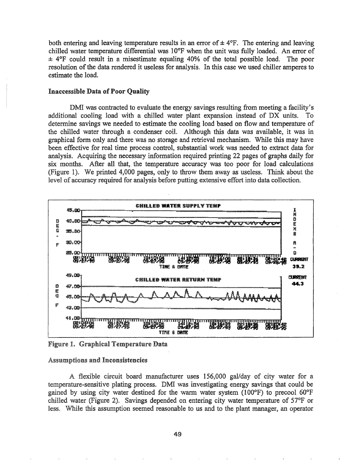both entering and leaving temperature results in an error of  $\pm 4$ °F. The entering and leaving chilled water temperature differential was  $10^{\circ}$ F when the unit was fully loaded. An error of  $\pm$  4°F could result in a misestimate equaling 40% of the total possible load. The poor resolution of the data rendered it useless for analysis. In this case we used chiller amperes to estimate the load.

#### Inaccessible Data of Poor Quality

DMI was contracted to evaluate the energy savings resulting from meeting a facility's additional cooling load with a chilled water plant expansion instead of DX units. To determine savings we needed to estimate the cooling load based on flow and temperature of the chilled water through a condenser coil. Although this data was available, it was in graphical form only and there was no storage and retrieval mechanism. While this may have been effective for real time process control, substantial work was needed to extract data for analysis. Acquiring the necessary information required printing 22 pages of graphs daily for six months. After all that, the temperature accuracy was too poor for load calculations (Figure 1). We printed 4,000 pages, only to throw them away as useless. Think about the level of accuracy required for analysis before putting extensive effort into data collection.



Figure 1. Graphical Temperature Data

#### Assumptions and Inconsistencies

A flexible circuit board manufacturer uses 156,000 gal/day of city water for a temperature-sensitive plating process. DMI was investigating energy savings that could be gained by using city water destined for the warm water system (100°F) to precool 60°F chilled water (Figure 2). Savings depended on entering city water temperature of  $57°F$  or less. While this assumption seemed reasonable to us and to the plant manager, an operator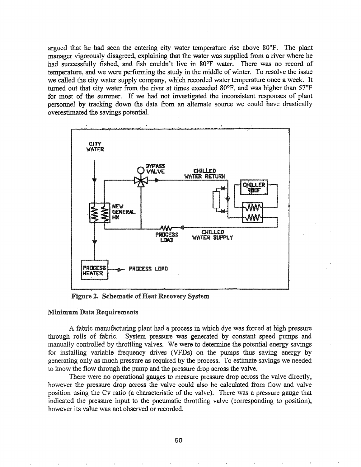argued that he had seen the entering city water temperature rise above 80°F. The plant manager vigorously disagreed, explaining that the water was supplied from a river where he had successfully fished, and fish couldn't live in 80°F water. There was no record of temperature, and we were performing the study in the middle of winter. To resolve the issue we called the city water supply company, which recorded water temperature once a week. It turned out that city water from the river at times exceeded 80°F, and was higher than 57°F for most of the summer. If we had not investigated the inconsistent responses of plant personnel by tracking down the data from an alternate source we could have drastically overestimated the savings potential.



Figure 2. Schematic of Heat Recovery System

#### Minimum Data Requirements

A fabric manufacturing plant had a process in which dye was forced at high pressure through rolls of fabric. System pressure was generated by constant speed pumps and manually controlled by throttling valves. We were to determine the potential energy savings for installing variable frequency drives (VFDs) on the pumps thus saving energy by generating only as much pressure as required by the process. To estimate savings we needed to know the flow through the pump and the pressure drop across the valve.

There were no operational gauges to measure pressure drop across the valve directly, however the pressure drop across the valve could also be calculated from flow and valve position using the Cv ratio (a characteristic of the valve). There was a pressure gauge that indicated the pressure input to the pneumatic throttling valve (corresponding to position), however its value was not observed or recorded.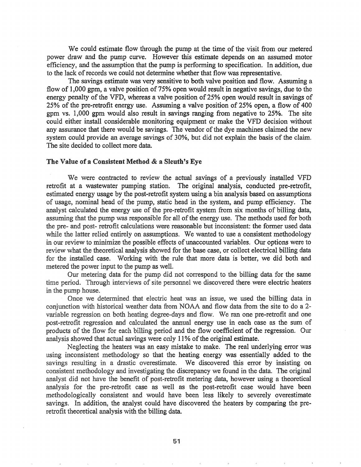We could estimate flow through the pump at the time of the visit from our metered power draw and the pump curve. However this estimate depends on an assumed motor efficiency, and the assumption that the pump is performing to specification. In addition, due to the lack of records we could not determine whether that flow was representative.

The savings estimate was very sensitive to both valve position and flow. Assuming a flow of 1,000 gpm, a valve position of 75% open would result in negative savings, due to the energy penalty of the VFD, whereas a valve position of 25% open would result in savings of 25% of the pre-retrofit energy use.. Assuming a valve position of 25% open, a flow of 400 gpm vs. 1,000 gpm would also result in savings ranging from negative to 25%. The site could either install considerable monitoring equipment or make the VFD decision without any assurance that there would be savings. The vendor of the dye machines claimed the new system could provide an average savings of 30%, but did not explain the basis of the claim. The site decided to collect more data.

#### The Value of a Consistent Method & a Sleuth's Eye

We were contracted to review the actual savings of a previously installed VFD retrofit at a wastewater pumping station. The original analysis, conducted pre-retrofit, estimated energy usage by the post-retrofit system using a bin analysis based on assumptions of usage, nominal d of the pump, static head in the system, and pump efficiency. The analyst calculated the energy use of the pre-retrofit system from six months of billing data, assuming that the pump was responsible for all of the energy use. The methods used for both pre- and post- retrofit calculations were reasonable but inconsistent: the former used data while the latter relied entirely on assumptions. We wanted to use a consistent methodology in our review to minimize the possible effects of unaccounted variables. Our options were to review what the theoretical analysis showed for the base case, or collect electrical billing data for the installed case. Working with the rule that more data is better, we did both and metered the power input to the pump as well.

Our metering data for the pump did not correspond to the billing data for the same time period. Through interviews of site personnel we discovered there were electric heaters in the pump house.

Once we determined that electric heat was an issue, we used the billing data in conjunction with historical weather data from NOAA and flow data from the site to do a 2variable regression on both heating degree-days and flow. We ran one pre-retrofit and one post-retrofit regression and calculated the annual energy use in each case as the sum of products of the flow for each billing period and the flow coefficient of the regression. Our analysis showed that actual savings were only  $11\%$  of the original estimate.

Neglecting the heaters was an easy mistake to make. The real underlying error was using inconsistent methodology so that the heating energy was essentially added to the savings resulting in a drastic overestimate. We discovered this error by insisting on consistent methodology and investigating the discrepancy we found in the data. The original analyst did not have the benefit of post-retrofit metering data, however using a theoretical analysis for the pre-retrofit case as well as the post-retrofit case would have been methodologically consistent and would have been less likely to severely overestimate savings. In addition, the analyst could have discovered the heaters by comparing the preretrofit theoretical analysis with the billing data.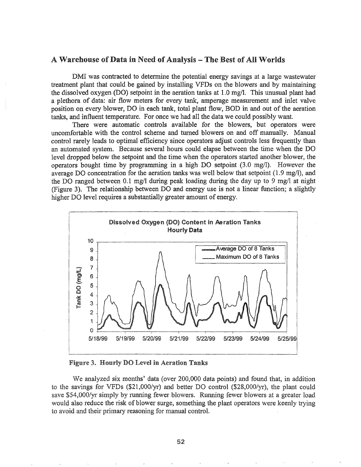## A Warehouse of Data in Need of Analysis - The Best of All Worlds

DMI was contracted to determine the potential energy savings at a large wastewater treatment plant that could be gained by installing VFDs on the blowers and by maintaining the dissolved oxygen (DO) setpoint in the aeration tanks at 1.0 mg/I. This unusual plant had a plethora of data: air flow meters for every tank, amperage measurement and inlet valve position on every blower, DO in each tank, total plant flow, BOD in and out of the aeration tanks, and influent temperature. For once we had all the data we could possibly want.

There were automatic controls available for the blowers, but operators were uncomfortable with the control scheme and turned blowers on and off manually. Manual control rarely leads to optimal efficiency since operators adjust controls less frequently than an automated system. Because several hours could elapse between the time when the DO level dropped below the setpoint and the time when the operators started another blower, the operators bought time by programming in a high DO setpoint (3.0 mg/I). However the average DO concentration for the aeration tanks was well below that setpoint (1.9 mg/I), and the DO ranged between 0.1 mg/l during peak loading during the day up to 9 mg/I at night (Figure 3). The relationship between DO and energy use is not a linear function; a slightly higher DO level requires a substantially greater amount of energy.



Figure 3. Hourly DO Level in Aeration Tanks

We analyzed six months' data (over 200,000 data points) and found that, in addition to the savings for VFDs (\$21,000/yr) and better DO control (\$28,000/yr), the plant could save \$54,OOO/yr simply by running fewer blowers. Running fewer blowers at a greater load would also reduce the risk of blower surge, something the plant operators were keenly trying to avoid and their primary reasoning for manual controL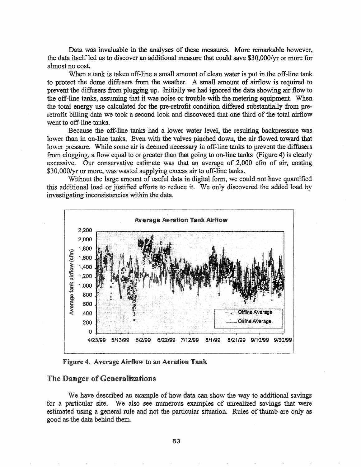Data was invaluable in the analyses of these measures. More remarkable however, the data itself led us to discover an additional measure that could save \$30,000/yr or more for almost no cost.

When a tank is taken off-line a small amount of clean water is put in the off-line tank to protect the dome diffusers from the weather. A small amount of airflow is required to prevent the diffusers from plugging up. Initially we had ignored the data showing air flow to the off-line tanks, assuming that it was noise or trouble with the metering equipment. When the total energy use calculated for the pre-retrofit condition differed substantially from preretrofit billing data we took a second look and discovered that one third of the total airflow went to off~line tanks.

Because the off-line tanks had a lower water level, the resulting backpressure was lower than in on-line tanks. Even with the valves pinched down, the air flowed toward that lower pressure. While some air is deemed necessary in off-line tanks to prevent the diffusers from clogging, a flow equal to or greater than that going to on-line tanks (Figure 4) is clearly excessive. Our conservative estimate was that an average of  $2,000$  cfm of air, costing \$30,000/yr or more, was wasted supplying excess air to off-line tanks.

Without the large amount of useful data in digital form, we could not have quantified this additional load or justified efforts to reduce it. We only discovered the added load by investigating inconsistencies within the data.



Figure 4. Average Airflow to an Aeration Tank

## The Danger of Generalizations

We have described an example of how data can show the way to additional savings for a particular site. We also see numerous examples of unrealized savings that were estimated using a general rule and not the particular situation. Rules of thumb are only as good as the data behind them.